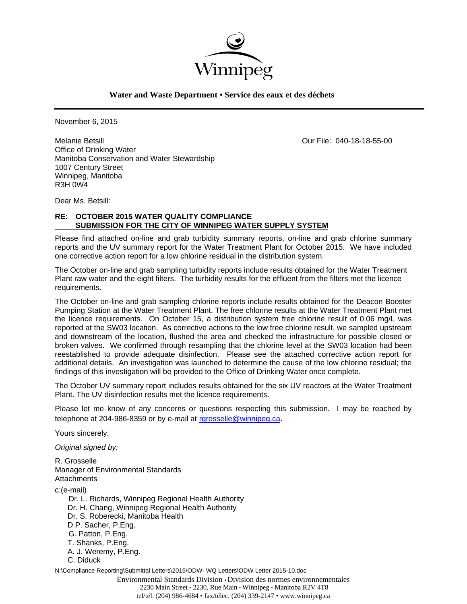

**Water and Waste Department • Service des eaux et des déchets**

November 6, 2015

Melanie Betsill Our File: 040-18-18-55-00 Office of Drinking Water Manitoba Conservation and Water Stewardship 1007 Century Street Winnipeg, Manitoba R3H 0W4

Dear Ms. Betsill:

### **RE: OCTOBER 2015 WATER QUALITY COMPLIANCE SUBMISSION FOR THE CITY OF WINNIPEG WATER SUPPLY SYSTEM**

Please find attached on-line and grab turbidity summary reports, on-line and grab chlorine summary reports and the UV summary report for the Water Treatment Plant for October 2015. We have included one corrective action report for a low chlorine residual in the distribution system.

The October on-line and grab sampling turbidity reports include results obtained for the Water Treatment Plant raw water and the eight filters. The turbidity results for the effluent from the filters met the licence requirements.

The October on-line and grab sampling chlorine reports include results obtained for the Deacon Booster Pumping Station at the Water Treatment Plant. The free chlorine results at the Water Treatment Plant met the licence requirements. On October 15, a distribution system free chlorine result of 0.06 mg/L was reported at the SW03 location. As corrective actions to the low free chlorine result, we sampled upstream and downstream of the location, flushed the area and checked the infrastructure for possible closed or broken valves. We confirmed through resampling that the chlorine level at the SW03 location had been reestablished to provide adequate disinfection. Please see the attached corrective action report for additional details. An investigation was launched to determine the cause of the low chlorine residual; the findings of this investigation will be provided to the Office of Drinking Water once complete.

The October UV summary report includes results obtained for the six UV reactors at the Water Treatment Plant. The UV disinfection results met the licence requirements.

Please let me know of any concerns or questions respecting this submission. I may be reached by telephone at 204-986-8359 or by e-mail at rgrosselle@winnipeg.ca.

Yours sincerely,

*Original signed by:* 

R. Grosselle Manager of Environmental Standards Attachments

c:(e-mail)

 Dr. L. Richards, Winnipeg Regional Health Authority Dr. H. Chang, Winnipeg Regional Health Authority Dr. S. Roberecki, Manitoba Health D.P. Sacher, P.Eng. G. Patton, P.Eng. T. Shanks, P.Eng. A. J. Weremy, P.Eng. C. Diduck

N:\Compliance Reporting\Submittal Letters\2015\ODW- WQ Letters\ODW Letter 2015-10.doc

Environmental Standards Division • Division des normes environnementales 2230 Main Street • 2230, Rue Main • Winnipeg • Manitoba R2V 4T8 tel/tél. (204) 986-4684 • fax/télec. (204) 339-2147 • www.winnipeg.ca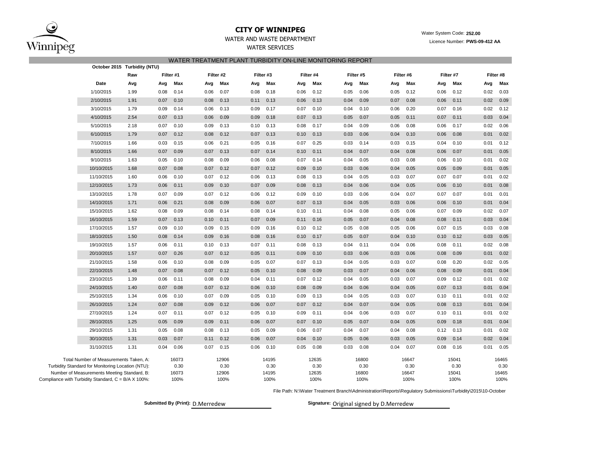

# **CITY OF WINNIPEG** WATER WATER WATER WATER System Code: 252.00

### WATER AND WASTE DEPARTMENT **Example 2018** Licence Number: **PWS-09-412 AA**

WATER SERVICES

#### WATER TREATMENT PLANT TURBIDITY ON-LINE MONITORING REPORT

|                                                                                                  | October 2015 Turbidity (NTU) |           |               |      |               |           |               |      |               |      |               |      |               |      |               |      |               |
|--------------------------------------------------------------------------------------------------|------------------------------|-----------|---------------|------|---------------|-----------|---------------|------|---------------|------|---------------|------|---------------|------|---------------|------|---------------|
|                                                                                                  | Raw                          | Filter #1 |               |      | Filter #2     | Filter #3 |               |      | Filter #4     |      | Filter #5     |      | Filter #6     |      | Filter #7     |      | Filter #8     |
| Date                                                                                             | Avg                          | Avg       | Max           | Avg  | Max           | Avg       | Max           | Avg  | Max           | Avg  | Max           | Avg  | Max           | Avg  | Max           | Avg  | Max           |
| 1/10/2015                                                                                        | 1.99                         | 0.08      | 0.14          | 0.06 | 0.07          | 0.08      | 0.18          | 0.06 | 0.12          | 0.05 | 0.06          | 0.05 | 0.12          | 0.06 | 0.12          | 0.02 | 0.03          |
| 2/10/2015                                                                                        | 1.91                         | 0.07      | 0.10          | 0.08 | 0.13          | 0.11      | 0.13          | 0.06 | 0.13          | 0.04 | 0.09          | 0.07 | 0.08          | 0.06 | 0.11          | 0.02 | 0.09          |
| 3/10/2015                                                                                        | 1.79                         | 0.09      | 0.14          | 0.06 | 0.13          | 0.09      | 0.17          | 0.07 | 0.10          | 0.04 | 0.10          | 0.06 | 0.20          | 0.07 | 0.16          | 0.02 | 0.12          |
| 4/10/2015                                                                                        | 2.54                         | 0.07      | 0.13          | 0.06 | 0.09          | 0.09      | 0.18          | 0.07 | 0.13          | 0.05 | 0.07          | 0.05 | 0.11          | 0.07 | 0.11          | 0.03 | 0.04          |
| 5/10/2015                                                                                        | 2.18                         | 0.07      | 0.10          | 0.09 | 0.13          | 0.10      | 0.13          | 0.08 | 0.17          | 0.04 | 0.09          | 0.06 | 0.08          | 0.06 | 0.17          | 0.02 | 0.06          |
| 6/10/2015                                                                                        | 1.79                         | 0.07      | 0.12          | 0.08 | 0.12          | 0.07      | 0.13          | 0.10 | 0.13          | 0.03 | 0.06          | 0.04 | 0.10          | 0.06 | 0.08          | 0.01 | 0.02          |
| 7/10/2015                                                                                        | 1.66                         | 0.03      | 0.15          | 0.06 | 0.21          | 0.05      | 0.16          | 0.07 | 0.25          | 0.03 | 0.14          | 0.03 | 0.15          | 0.04 | 0.10          | 0.01 | 0.12          |
| 8/10/2015                                                                                        | 1.66                         | 0.07      | 0.09          | 0.07 | 0.13          | 0.07      | 0.14          | 0.10 | 0.11          | 0.04 | 0.07          | 0.04 | 0.08          | 0.06 | 0.07          | 0.01 | 0.05          |
| 9/10/2015                                                                                        | 1.63                         | 0.05      | 0.10          | 0.08 | 0.09          | 0.06      | 0.08          | 0.07 | 0.14          | 0.04 | 0.05          | 0.03 | 0.08          | 0.06 | 0.10          | 0.01 | 0.02          |
| 10/10/2015                                                                                       | 1.68                         | 0.07      | 0.08          | 0.07 | 0.12          | 0.07      | 0.12          | 0.09 | 0.10          | 0.03 | 0.06          | 0.04 | 0.05          | 0.05 | 0.09          | 0.01 | 0.05          |
| 11/10/2015                                                                                       | 1.60                         | 0.06      | 0.10          | 0.07 | 0.12          | 0.06      | 0.13          | 0.08 | 0.13          | 0.04 | 0.05          | 0.03 | 0.07          | 0.07 | 0.07          | 0.01 | 0.02          |
| 12/10/2015                                                                                       | 1.73                         | 0.06      | 0.11          | 0.09 | 0.10          | 0.07      | 0.09          | 0.08 | 0.13          | 0.04 | 0.06          | 0.04 | 0.05          | 0.06 | 0.10          | 0.01 | 0.08          |
| 13/10/2015                                                                                       | 1.78                         | 0.07      | 0.09          | 0.07 | 0.12          | 0.06      | 0.12          | 0.09 | 0.10          | 0.03 | 0.06          | 0.04 | 0.07          | 0.07 | 0.07          | 0.01 | 0.01          |
| 14/10/2015                                                                                       | 1.71                         | 0.06      | 0.21          | 0.08 | 0.09          | 0.06      | 0.07          | 0.07 | 0.13          | 0.04 | 0.05          | 0.03 | 0.06          | 0.06 | 0.10          | 0.01 | 0.04          |
| 15/10/2015                                                                                       | 1.62                         | 0.08      | 0.09          | 0.08 | 0.14          | 0.08      | 0.14          | 0.10 | 0.11          | 0.04 | 0.08          | 0.05 | 0.06          | 0.07 | 0.09          | 0.02 | 0.07          |
| 16/10/2015                                                                                       | 1.59                         | 0.07      | 0.13          | 0.10 | 0.11          | 0.07      | 0.09          | 0.11 | 0.16          | 0.05 | 0.07          | 0.04 | 0.08          | 0.08 | 0.11          | 0.03 | 0.04          |
| 17/10/2015                                                                                       | 1.57                         | 0.09      | 0.10          | 0.09 | 0.15          | 0.09      | 0.16          | 0.10 | 0.12          | 0.05 | 0.08          | 0.05 | 0.06          | 0.07 | 0.15          | 0.03 | 0.08          |
| 18/10/2015                                                                                       | 1.50                         | 0.08      | 0.14          | 0.09 | 0.16          | 0.08      | 0.16          | 0.10 | 0.17          | 0.05 | 0.07          | 0.04 | 0.10          | 0.10 | 0.12          | 0.03 | 0.05          |
| 19/10/2015                                                                                       | 1.57                         | 0.06      | 0.11          | 0.10 | 0.13          | 0.07      | 0.11          | 0.08 | 0.13          | 0.04 | 0.11          | 0.04 | 0.06          | 0.08 | 0.11          | 0.02 | 0.08          |
| 20/10/2015                                                                                       | 1.57                         | 0.07      | 0.26          | 0.07 | 0.12          | 0.05      | 0.11          | 0.09 | 0.10          | 0.03 | 0.06          | 0.03 | 0.06          | 0.08 | 0.09          | 0.01 | 0.02          |
| 21/10/2015                                                                                       | 1.58                         | 0.06      | 0.10          | 0.08 | 0.09          | 0.05      | 0.07          | 0.07 | 0.13          | 0.04 | 0.05          | 0.03 | 0.07          | 0.08 | 0.20          | 0.02 | 0.05          |
| 22/10/2015                                                                                       | 1.48                         | 0.07      | 0.08          | 0.07 | 0.12          | 0.05      | 0.10          | 0.08 | 0.09          | 0.03 | 0.07          | 0.04 | 0.06          | 0.08 | 0.09          | 0.01 | 0.04          |
| 23/10/2015                                                                                       | 1.39                         | 0.06      | 0.11          | 0.08 | 0.09          | 0.04      | 0.11          | 0.07 | 0.12          | 0.04 | 0.05          | 0.03 | 0.07          | 0.09 | 0.12          | 0.01 | 0.02          |
| 24/10/2015                                                                                       | 1.40                         | 0.07      | 0.08          | 0.07 | 0.12          | 0.06      | 0.10          | 0.08 | 0.09          | 0.04 | 0.06          | 0.04 | 0.05          | 0.07 | 0.13          | 0.01 | 0.04          |
| 25/10/2015                                                                                       | 1.34                         | 0.06      | 0.10          | 0.07 | 0.09          | 0.05      | 0.10          | 0.09 | 0.13          | 0.04 | 0.05          | 0.03 | 0.07          | 0.10 | 0.11          | 0.01 | 0.02          |
| 26/10/2015                                                                                       | 1.24                         | 0.07      | 0.08          | 0.09 | 0.12          | 0.06      | 0.07          | 0.07 | 0.12          | 0.04 | 0.07          | 0.04 | 0.05          | 0.08 | 0.13          | 0.01 | 0.04          |
| 27/10/2015                                                                                       | 1.24                         | 0.07      | 0.11          | 0.07 | 0.12          | 0.05      | 0.10          | 0.09 | 0.11          | 0.04 | 0.06          | 0.03 | 0.07          | 0.10 | 0.11          | 0.01 | 0.02          |
| 28/10/2015                                                                                       | 1.25                         | 0.05      | 0.09          | 0.09 | 0.11          | 0.06      | 0.07          | 0.07 | 0.10          | 0.05 | 0.07          | 0.04 | 0.05          | 0.09 | 0.18          | 0.01 | 0.04          |
| 29/10/2015                                                                                       | 1.31                         | 0.05      | 0.08          | 0.08 | 0.13          | 0.05      | 0.09          | 0.06 | 0.07          | 0.04 | 0.07          | 0.04 | 0.08          | 0.12 | 0.13          | 0.01 | 0.02          |
| 30/10/2015                                                                                       | 1.31                         | 0.03      | 0.07          | 0.11 | 0.12          | 0.06      | 0.07          | 0.04 | 0.10          | 0.05 | 0.06          | 0.03 | 0.05          | 0.09 | 0.14          | 0.02 | 0.04          |
| 31/10/2015                                                                                       | 1.31                         | 0.04      | 0.06          | 0.07 | 0.15          | 0.06      | 0.10          | 0.05 | 0.08          | 0.03 | 0.08          | 0.04 | 0.07          | 0.08 | 0.16          | 0.01 | 0.05          |
| Total Number of Measurements Taken, A:                                                           |                              |           | 16073         |      | 12906         |           | 14195         |      | 12635         |      | 16800         |      | 16647         |      | 15041         |      | 16465         |
| Turbidity Standard for Monitoring Location (NTU):<br>Number of Measurements Meeting Standard, B: |                              |           | 0.30<br>16073 |      | 0.30<br>12906 |           | 0.30<br>14195 |      | 0.30<br>12635 |      | 0.30<br>16800 |      | 0.30<br>16647 |      | 0.30<br>15041 |      | 0.30<br>16465 |
| Compliance with Turbidity Standard, C = B/A X 100%:                                              |                              |           | 100%          |      | 100%          |           | 100%          |      | 100%          |      | 100%          |      | 100%          |      | 100%          |      | 100%          |

File Path: N:\Water Treatment Branch\Administration\Reports\Regulatory Submissions\Turbidity\2015\10-October

**Submitted By (Print): D.Merredew** 

Signature: Original signed by D.Merredew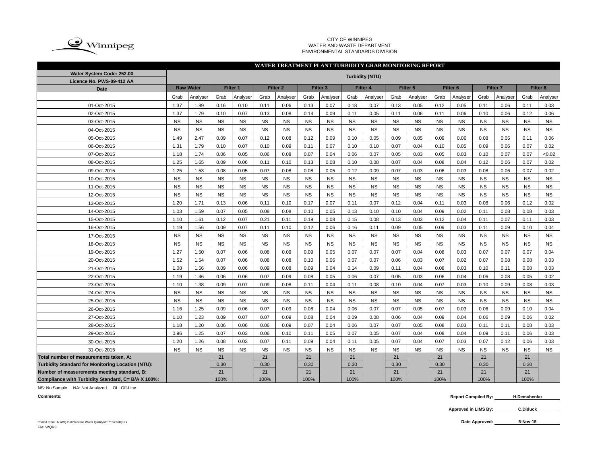

#### CITY OF WINNIPEG WATER AND WASTE DEPARTMENT ENVIRONMENTAL STANDARDS DIVISION

### **WATER TREATMENT PLANT TURBIDITY GRAB MONITORING REPORT**

| Water System Code: 252.00<br>Licence No. PWS-09-412 AA |           |                  |           |           |           |                     |           |                     |           | <b>Turbidity (NTU)</b> |           |           |           |                     |           |                     |           |             |
|--------------------------------------------------------|-----------|------------------|-----------|-----------|-----------|---------------------|-----------|---------------------|-----------|------------------------|-----------|-----------|-----------|---------------------|-----------|---------------------|-----------|-------------|
| Date                                                   |           | <b>Raw Water</b> |           | Filter 1  |           | Filter <sub>2</sub> |           | Filter <sub>3</sub> |           | Filter 4               |           | Filter 5  |           | Filter <sub>6</sub> |           | Filter <sub>7</sub> |           | Filter 8    |
|                                                        | Grab      | Analyser         | Grab      | Analyser  | Grab      | Analyser            | Grab      | Analyser            | Grab      | Analyser               | Grab      | Analyser  | Grab      | Analyser            | Grab      | Analyser            | Grab      | Analyser    |
| 01-Oct-2015                                            | 1.37      | 1.89             | 0.16      | 0.10      | 0.11      | 0.06                | 0.13      | 0.07                | 0.18      | 0.07                   | 0.13      | 0.05      | 0.12      | 0.05                | 0.11      | 0.06                | 0.11      | 0.03        |
| 02-Oct-2015                                            | 1.37      | 1.79             | 0.10      | 0.07      | 0.13      | 0.08                | 0.14      | 0.09                | 0.11      | 0.05                   | 0.11      | 0.06      | 0.11      | 0.06                | 0.10      | 0.06                | 0.12      | 0.06        |
| 03-Oct-2015                                            | <b>NS</b> | <b>NS</b>        | <b>NS</b> | <b>NS</b> | <b>NS</b> | <b>NS</b>           | <b>NS</b> | <b>NS</b>           | <b>NS</b> | <b>NS</b>              | <b>NS</b> | <b>NS</b> | <b>NS</b> | <b>NS</b>           | <b>NS</b> | <b>NS</b>           | <b>NS</b> | <b>NS</b>   |
| 04-Oct-2015                                            | <b>NS</b> | <b>NS</b>        | <b>NS</b> | <b>NS</b> | <b>NS</b> | <b>NS</b>           | <b>NS</b> | <b>NS</b>           | <b>NS</b> | <b>NS</b>              | <b>NS</b> | <b>NS</b> | <b>NS</b> | <b>NS</b>           | <b>NS</b> | <b>NS</b>           | <b>NS</b> | <b>NS</b>   |
| 05-Oct-2015                                            | 1.49      | 2.47             | 0.09      | 0.07      | 0.12      | 0.08                | 0.12      | 0.09                | 0.10      | 0.05                   | 0.09      | 0.05      | 0.09      | 0.06                | 0.08      | 0.05                | 0.11      | 0.06        |
| 06-Oct-2015                                            | 1.31      | 1.79             | 0.10      | 0.07      | 0.10      | 0.09                | 0.11      | 0.07                | 0.10      | 0.10                   | 0.07      | 0.04      | 0.10      | 0.05                | 0.09      | 0.06                | 0.07      | 0.02        |
| 07-Oct-2015                                            | 1.18      | 1.74             | 0.06      | 0.05      | 0.06      | 0.08                | 0.07      | 0.04                | 0.06      | 0.07                   | 0.05      | 0.03      | 0.05      | 0.03                | 0.10      | 0.07                | 0.07      | <0.02       |
| 08-Oct-2015                                            | 1.25      | 1.65             | 0.09      | 0.06      | 0.11      | 0.10                | 0.13      | 0.08                | 0.10      | 0.08                   | 0.07      | 0.04      | 0.08      | 0.04                | 0.12      | 0.06                | 0.07      | 0.02        |
| 09-Oct-2015                                            | 1.25      | 1.53             | 0.08      | 0.05      | 0.07      | 0.08                | 0.08      | 0.05                | 0.12      | 0.09                   | 0.07      | 0.03      | 0.06      | 0.03                | 0.08      | 0.06                | 0.07      | 0.02        |
| 10-Oct-2015                                            | <b>NS</b> | <b>NS</b>        | <b>NS</b> | <b>NS</b> | <b>NS</b> | <b>NS</b>           | <b>NS</b> | <b>NS</b>           | <b>NS</b> | <b>NS</b>              | <b>NS</b> | <b>NS</b> | <b>NS</b> | <b>NS</b>           | <b>NS</b> | <b>NS</b>           | <b>NS</b> | <b>NS</b>   |
| 11-Oct-2015                                            | <b>NS</b> | <b>NS</b>        | <b>NS</b> | <b>NS</b> | <b>NS</b> | <b>NS</b>           | <b>NS</b> | <b>NS</b>           | <b>NS</b> | <b>NS</b>              | <b>NS</b> | <b>NS</b> | <b>NS</b> | <b>NS</b>           | <b>NS</b> | <b>NS</b>           | <b>NS</b> | <b>NS</b>   |
| 12-Oct-2015                                            | <b>NS</b> | <b>NS</b>        | <b>NS</b> | <b>NS</b> | <b>NS</b> | <b>NS</b>           | <b>NS</b> | <b>NS</b>           | <b>NS</b> | <b>NS</b>              | <b>NS</b> | <b>NS</b> | <b>NS</b> | <b>NS</b>           | <b>NS</b> | <b>NS</b>           | <b>NS</b> | <b>NS</b>   |
| 13-Oct-2015                                            | 1.20      | 1.71             | 0.13      | 0.06      | 0.11      | 0.10                | 0.17      | 0.07                | 0.11      | 0.07                   | 0.12      | 0.04      | 0.11      | 0.03                | 0.08      | 0.06                | 0.12      | 0.02        |
| 14-Oct-2015                                            | 1.03      | 1.59             | 0.07      | 0.05      | 0.08      | 0.08                | 0.10      | 0.05                | 0.13      | 0.10                   | 0.10      | 0.04      | 0.09      | 0.02                | 0.11      | 0.08                | 0.08      | 0.03        |
| 15-Oct-2015                                            | 1.10      | 1.61             | 0.12      | 0.07      | 0.21      | 0.11                | 0.19      | 0.08                | 0.15      | 0.08                   | 0.13      | 0.03      | 0.12      | 0.04                | 0.11      | 0.07                | 0.11      | 0.03        |
| 16-Oct-2015                                            | 1.19      | 1.56             | 0.09      | 0.07      | 0.11      | 0.10                | 0.12      | 0.06                | 0.16      | 0.11                   | 0.09      | 0.05      | 0.09      | 0.03                | 0.11      | 0.09                | 0.10      | 0.04        |
| 17-Oct-2015                                            | <b>NS</b> | <b>NS</b>        | <b>NS</b> | <b>NS</b> | <b>NS</b> | <b>NS</b>           | <b>NS</b> | <b>NS</b>           | <b>NS</b> | <b>NS</b>              | <b>NS</b> | <b>NS</b> | <b>NS</b> | <b>NS</b>           | <b>NS</b> | <b>NS</b>           | <b>NS</b> | $_{\rm NS}$ |
| 18-Oct-2015                                            | <b>NS</b> | <b>NS</b>        | <b>NS</b> | <b>NS</b> | <b>NS</b> | <b>NS</b>           | <b>NS</b> | <b>NS</b>           | <b>NS</b> | <b>NS</b>              | <b>NS</b> | <b>NS</b> | <b>NS</b> | <b>NS</b>           | <b>NS</b> | <b>NS</b>           | <b>NS</b> | <b>NS</b>   |
| 19-Oct-2015                                            | 1.27      | 1.50             | 0.07      | 0.06      | 0.08      | 0.09                | 0.09      | 0.05                | 0.07      | 0.07                   | 0.07      | 0.04      | 0.08      | 0.03                | 0.07      | 0.07                | 0.07      | 0.04        |
| 20-Oct-2015                                            | 1.52      | 1.54             | 0.07      | 0.06      | 0.08      | 0.08                | 0.10      | 0.06                | 0.07      | 0.07                   | 0.06      | 0.03      | 0.07      | 0.02                | 0.07      | 0.08                | 0.08      | 0.03        |
| 21-Oct-2015                                            | 1.08      | 1.56             | 0.09      | 0.06      | 0.09      | 0.08                | 0.09      | 0.04                | 0.14      | 0.09                   | 0.11      | 0.04      | 0.08      | 0.03                | 0.10      | 0.11                | 0.08      | 0.03        |
| 22-Oct-2015                                            | 1.19      | 1.46             | 0.06      | 0.06      | 0.07      | 0.09                | 0.08      | 0.05                | 0.06      | 0.07                   | 0.05      | 0.03      | 0.06      | 0.04                | 0.06      | 0.08                | 0.05      | 0.02        |
| 23-Oct-2015                                            | 1.10      | 1.38             | 0.09      | 0.07      | 0.09      | 0.08                | 0.11      | 0.04                | 0.11      | 0.08                   | 0.10      | 0.04      | 0.07      | 0.03                | 0.10      | 0.09                | 0.08      | 0.03        |
| 24-Oct-2015                                            | <b>NS</b> | <b>NS</b>        | <b>NS</b> | <b>NS</b> | <b>NS</b> | <b>NS</b>           | <b>NS</b> | <b>NS</b>           | <b>NS</b> | <b>NS</b>              | <b>NS</b> | <b>NS</b> | <b>NS</b> | <b>NS</b>           | <b>NS</b> | <b>NS</b>           | <b>NS</b> | <b>NS</b>   |
| 25-Oct-2015                                            | <b>NS</b> | <b>NS</b>        | <b>NS</b> | <b>NS</b> | <b>NS</b> | <b>NS</b>           | <b>NS</b> | <b>NS</b>           | <b>NS</b> | <b>NS</b>              | <b>NS</b> | <b>NS</b> | <b>NS</b> | <b>NS</b>           | <b>NS</b> | <b>NS</b>           | <b>NS</b> | <b>NS</b>   |
| 26-Oct-2015                                            | 1.16      | 1.25             | 0.09      | 0.06      | 0.07      | 0.09                | 0.08      | 0.04                | 0.06      | 0.07                   | 0.07      | 0.05      | 0.07      | 0.03                | 0.06      | 0.09                | 0.10      | 0.04        |
| 27-Oct-2015                                            | 1.10      | 1.23             | 0.09      | 0.07      | 0.07      | 0.09                | 0.08      | 0.04                | 0.09      | 0.08                   | 0.06      | 0.04      | 0.09      | 0.04                | 0.06      | 0.09                | 0.06      | 0.02        |
| 28-Oct-2015                                            | 1.18      | 1.20             | 0.06      | 0.06      | 0.06      | 0.09                | 0.07      | 0.04                | 0.06      | 0.07                   | 0.07      | 0.05      | 0.08      | 0.03                | 0.11      | 0.11                | 0.08      | 0.03        |
| 29-Oct-2015                                            | 0.96      | 1.25             | 0.07      | 0.03      | 0.06      | 0.10                | 0.11      | 0.05                | 0.07      | 0.05                   | 0.07      | 0.04      | 0.08      | 0.04                | 0.09      | 0.11                | 0.06      | 0.03        |
| 30-Oct-2015                                            | 1.20      | 1.26             | 0.08      | 0.03      | 0.07      | 0.11                | 0.09      | 0.04                | 0.11      | 0.05                   | 0.07      | 0.04      | 0.07      | 0.03                | 0.07      | 0.12                | 0.06      | 0.03        |
| 31-Oct-2015                                            | <b>NS</b> | <b>NS</b>        | <b>NS</b> | <b>NS</b> | <b>NS</b> | <b>NS</b>           | <b>NS</b> | <b>NS</b>           | <b>NS</b> | <b>NS</b>              | <b>NS</b> | <b>NS</b> | <b>NS</b> | <b>NS</b>           | <b>NS</b> | <b>NS</b>           | <b>NS</b> | <b>NS</b>   |
| Total number of measurements taken, A:                 |           |                  | 21        |           | 21        |                     | 21        |                     | 21        |                        | 21        |           | 21        |                     | 21        |                     | 21        |             |
| Turbidity Standard for Monitoring Location (NTU):      |           |                  | 0.30      |           | 0.30      |                     | 0.30      |                     | 0.30      |                        | 0.30      |           | 0.30      |                     | 0.30      |                     | 0.30      |             |
| Number of measurements meeting standard, B:            |           |                  | 21        |           | 21        |                     | 21        |                     | 21        |                        | 21        |           | 21        |                     | 21        |                     | 21        |             |
| Compliance with Turbidity Standard, C= B/A X 100%:     |           |                  | 100%      |           | 100%      |                     | 100%      |                     | 100%      |                        | 100%      |           | 100%      |                     | 100%      |                     | 100%      |             |

NS: No Sample NA: Not Analyzed OL: Off-Line

**Comments: Report Compiled By: H.Demchenko**

> **Approved in LIMS By: C.Diduck**

**5-Nov-15**

Printed From : N:\WQ Data\Routine Water Quality\2015\Turbidity.xls **Date Approved:** File: WQR3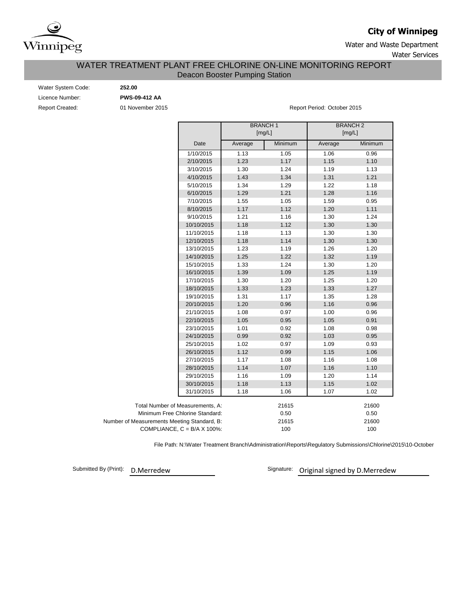

# **City of Winnipeg**

Water and Waste Department Water Services

### Deacon Booster Pumping Station WATER TREATMENT PLANT FREE CHLORINE ON-LINE MONITORING REPORT

| Water System Code:     |
|------------------------|
| Licence Number:        |
| <b>Report Created:</b> |

Water System Code: **252.00** Licence Number: **PWS-09-412 AA**

01 November 2015 **Report Period: October 2015** 

|                                             |         | <b>BRANCH1</b><br>[mg/L] | <b>BRANCH2</b><br>[mg/L] |         |
|---------------------------------------------|---------|--------------------------|--------------------------|---------|
| Date                                        | Average | Minimum                  | Average                  | Minimum |
| 1/10/2015                                   | 1.13    | 1.05                     | 1.06                     | 0.96    |
| 2/10/2015                                   | 1.23    | 1.17                     | 1.15                     | 1.10    |
| 3/10/2015                                   | 1.30    | 1.24                     | 1.19                     | 1.13    |
| 4/10/2015                                   | 1.43    | 1.34                     | 1.31                     | 1.21    |
| 5/10/2015                                   | 1.34    | 1.29                     | 1.22                     | 1.18    |
| 6/10/2015                                   | 1.29    | 1.21                     | 1.28                     | 1.16    |
| 7/10/2015                                   | 1.55    | 1.05                     | 1.59                     | 0.95    |
| 8/10/2015                                   | 1.17    | 1.12                     | 1.20                     | 1.11    |
| 9/10/2015                                   | 1.21    | 1.16                     | 1.30                     | 1.24    |
| 10/10/2015                                  | 1.18    | 1.12                     | 1.30                     | 1.30    |
| 11/10/2015                                  | 1.18    | 1.13                     | 1.30                     | 1.30    |
| 12/10/2015                                  | 1.18    | 1.14                     | 1.30                     | 1.30    |
| 13/10/2015                                  | 1.23    | 1.19                     | 1.26                     | 1.20    |
| 14/10/2015                                  | 1.25    | 1.22                     | 1.32                     | 1.19    |
| 15/10/2015                                  | 1.33    | 1.24                     | 1.30                     | 1.20    |
| 16/10/2015                                  | 1.39    | 1.09                     | 1.25                     | 1.19    |
| 17/10/2015                                  | 1.30    | 1.20                     | 1.25                     | 1.20    |
| 18/10/2015                                  | 1.33    | 1.23                     | 1.33                     | 1.27    |
| 19/10/2015                                  | 1.31    | 1.17                     | 1.35                     | 1.28    |
| 20/10/2015                                  | 1.20    | 0.96                     | 1.16                     | 0.96    |
| 21/10/2015                                  | 1.08    | 0.97                     | 1.00                     | 0.96    |
| 22/10/2015                                  | 1.05    | 0.95                     | 1.05                     | 0.91    |
| 23/10/2015                                  | 1.01    | 0.92                     | 1.08                     | 0.98    |
| 24/10/2015                                  | 0.99    | 0.92                     | 1.03                     | 0.95    |
| 25/10/2015                                  | 1.02    | 0.97                     | 1.09                     | 0.93    |
| 26/10/2015                                  | 1.12    | 0.99                     | 1.15                     | 1.06    |
| 27/10/2015                                  | 1.17    | 1.08                     | 1.16                     | 1.08    |
| 28/10/2015                                  | 1.14    | 1.07                     | 1.16                     | 1.10    |
| 29/10/2015                                  | 1.16    | 1.09                     | 1.20                     | 1.14    |
| 30/10/2015                                  | 1.18    | 1.13                     | 1.15                     | 1.02    |
| 31/10/2015                                  | 1.18    | 1.06                     | 1.07                     | 1.02    |
| Total Number of Measurements, A:            |         | 21615                    |                          | 21600   |
| Minimum Free Chlorine Standard:             |         | 0.50                     |                          | 0.50    |
| Number of Measurements Meeting Standard, B: |         | 21615                    |                          | 21600   |
| COMPLIANCE, $C = B/A \times 100\%$ :        |         | 100                      |                          | 100     |

File Path: N:\Water Treatment Branch\Administration\Reports\Regulatory Submissions\Chlorine\2015\10-October

Submitted By (Print): D. Merredew

Signature: Original signed by D.Merredew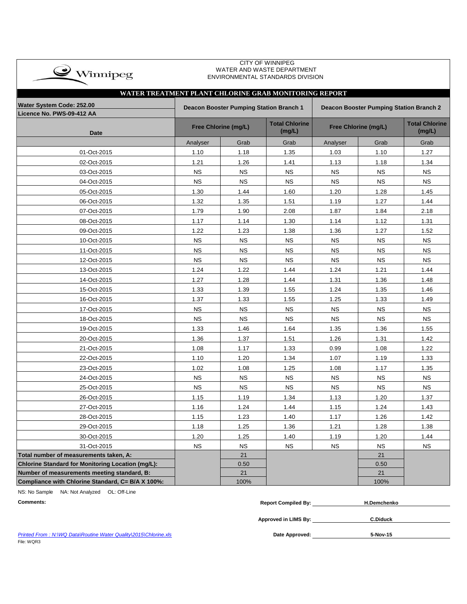| $\bullet$ Winnipeg |  |
|--------------------|--|
|                    |  |

#### CITY OF WINNIPEG WATER AND WASTE DEPARTMENT ENVIRONMENTAL STANDARDS DIVISION

| WATER TREATMENT PLANT CHLORINE GRAB MONITORING REPORT    |                                                |                                         |                                 |           |                      |                                 |
|----------------------------------------------------------|------------------------------------------------|-----------------------------------------|---------------------------------|-----------|----------------------|---------------------------------|
| Water System Code: 252.00                                | <b>Deacon Booster Pumping Station Branch 1</b> | Deacon Booster Pumping Station Branch 2 |                                 |           |                      |                                 |
| Licence No. PWS-09-412 AA<br><b>Date</b>                 |                                                | Free Chlorine (mg/L)                    | <b>Total Chlorine</b><br>(mg/L) |           | Free Chlorine (mg/L) | <b>Total Chlorine</b><br>(mg/L) |
|                                                          | Analyser                                       | Grab                                    | Grab                            | Analyser  | Grab                 | Grab                            |
| 01-Oct-2015                                              | 1.10                                           | 1.18                                    | 1.35                            | 1.03      | 1.10                 | 1.27                            |
| 02-Oct-2015                                              | 1.21                                           | 1.26                                    | 1.41                            | 1.13      | 1.18                 | 1.34                            |
| 03-Oct-2015                                              | <b>NS</b>                                      | <b>NS</b>                               | <b>NS</b>                       | <b>NS</b> | <b>NS</b>            | <b>NS</b>                       |
| 04-Oct-2015                                              | <b>NS</b>                                      | <b>NS</b>                               | <b>NS</b>                       | <b>NS</b> | <b>NS</b>            | <b>NS</b>                       |
| 05-Oct-2015                                              | 1.30                                           | 1.44                                    | 1.60                            | 1.20      | 1.28                 | 1.45                            |
| 06-Oct-2015                                              | 1.32                                           | 1.35                                    | 1.51                            | 1.19      | 1.27                 | 1.44                            |
| 07-Oct-2015                                              | 1.79                                           | 1.90                                    | 2.08                            | 1.87      | 1.84                 | 2.18                            |
| 08-Oct-2015                                              | 1.17                                           | 1.14                                    | 1.30                            | 1.14      | 1.12                 | 1.31                            |
| 09-Oct-2015                                              | 1.22                                           | 1.23                                    | 1.38                            | 1.36      | 1.27                 | 1.52                            |
| 10-Oct-2015                                              | <b>NS</b>                                      | <b>NS</b>                               | <b>NS</b>                       | <b>NS</b> | <b>NS</b>            | <b>NS</b>                       |
| 11-Oct-2015                                              | <b>NS</b>                                      | <b>NS</b>                               | <b>NS</b>                       | <b>NS</b> | <b>NS</b>            | <b>NS</b>                       |
| 12-Oct-2015                                              | <b>NS</b>                                      | <b>NS</b>                               | <b>NS</b>                       | <b>NS</b> | <b>NS</b>            | <b>NS</b>                       |
| 13-Oct-2015                                              | 1.24                                           | 1.22                                    | 1.44                            | 1.24      | 1.21                 | 1.44                            |
| 14-Oct-2015                                              | 1.27                                           | 1.28                                    | 1.44                            | 1.31      | 1.36                 | 1.48                            |
| 15-Oct-2015                                              | 1.33                                           | 1.39                                    | 1.55                            | 1.24      | 1.35                 | 1.46                            |
| 16-Oct-2015                                              | 1.37                                           | 1.33                                    | 1.55                            | 1.25      | 1.33                 | 1.49                            |
| 17-Oct-2015                                              | <b>NS</b>                                      | <b>NS</b>                               | <b>NS</b>                       | <b>NS</b> | <b>NS</b>            | <b>NS</b>                       |
| 18-Oct-2015                                              | <b>NS</b>                                      | <b>NS</b>                               | <b>NS</b>                       | <b>NS</b> | <b>NS</b>            | <b>NS</b>                       |
| 19-Oct-2015                                              | 1.33                                           | 1.46                                    | 1.64                            | 1.35      | 1.36                 | 1.55                            |
| 20-Oct-2015                                              | 1.36                                           | 1.37                                    | 1.51                            | 1.26      | 1.31                 | 1.42                            |
| 21-Oct-2015                                              | 1.08                                           | 1.17                                    | 1.33                            | 0.99      | 1.08                 | 1.22                            |
| 22-Oct-2015                                              | 1.10                                           | 1.20                                    | 1.34                            | 1.07      | 1.19                 | 1.33                            |
| 23-Oct-2015                                              | 1.02                                           | 1.08                                    | 1.25                            | 1.08      | 1.17                 | 1.35                            |
| 24-Oct-2015                                              | <b>NS</b>                                      | <b>NS</b>                               | <b>NS</b>                       | <b>NS</b> | <b>NS</b>            | <b>NS</b>                       |
| 25-Oct-2015                                              | <b>NS</b>                                      | <b>NS</b>                               | <b>NS</b>                       | <b>NS</b> | <b>NS</b>            | <b>NS</b>                       |
| 26-Oct-2015                                              | 1.15                                           | 1.19                                    | 1.34                            | 1.13      | 1.20                 | 1.37                            |
| 27-Oct-2015                                              | 1.16                                           | 1.24                                    | 1.44                            | 1.15      | 1.24                 | 1.43                            |
| 28-Oct-2015                                              | 1.15                                           | 1.23                                    | 1.40                            | 1.17      | 1.26                 | 1.42                            |
| 29-Oct-2015                                              | 1.18                                           | 1.25                                    | 1.36                            | 1.21      | 1.28                 | 1.38                            |
| 30-Oct-2015                                              | 1.20                                           | 1.25                                    | 1.40                            | 1.19      | 1.20                 | 1.44                            |
| 31-Oct-2015                                              | <b>NS</b>                                      | <b>NS</b>                               | <b>NS</b>                       | <b>NS</b> | <b>NS</b>            | <b>NS</b>                       |
| Total number of measurements taken, A:                   |                                                | 21                                      |                                 |           | 21                   |                                 |
| <b>Chlorine Standard for Monitoring Location (mg/L):</b> |                                                | 0.50                                    |                                 |           | 0.50                 |                                 |
| Number of measurements meeting standard, B:              |                                                | 21                                      |                                 |           | 21                   |                                 |
| Compliance with Chlorine Standard, C= B/A X 100%:        |                                                | 100%                                    |                                 |           | 100%                 |                                 |

NS: No Sample NA: Not Analyzed OL: Off-Line

| Comments: | r Compiled By:<br>Repor | H.Demchenko |
|-----------|-------------------------|-------------|
|           |                         |             |

**Approved in LIMS By: C.Diduck**

Date Approved: 5-Nov-15

**Printed From : N:\WQ Data\Routine Water Quality\2015\Chlorine.xls** File: WQR3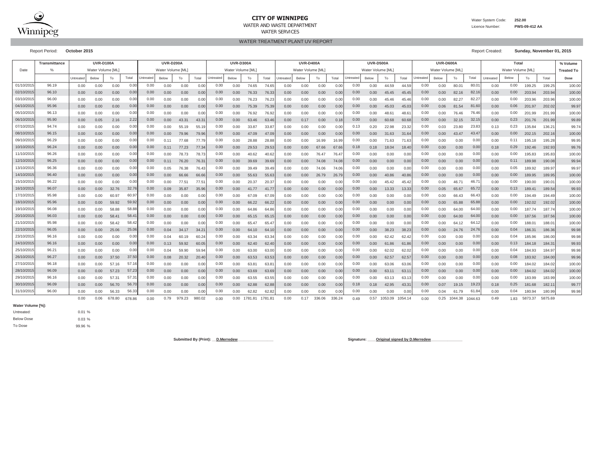

### **CITY OF WINNIPEG**

WATER AND WASTE DEPARTMENTWATER SERVICES

Water System Code: **252.00**

 Licence Number:**PWS-09-412 AA**

WATER TREATMENT PLANT UV REPORT

Report Period: **October 2015** Report Created: **Sunday, November 01, 2015**

|           | <b>Transmittance</b> |           | <b>UVR-D100A</b> |       |       |           | <b>UVR-D200A</b> |       |       |           | <b>UVR-D300A</b> |           |       |           | <b>UVR-D400A</b>  |       |       |           | <b>UVR-D500A</b>  |       |       |                  | UVR-D600A         |                   |       |           | % Volume                   |        |        |                   |
|-----------|----------------------|-----------|------------------|-------|-------|-----------|------------------|-------|-------|-----------|------------------|-----------|-------|-----------|-------------------|-------|-------|-----------|-------------------|-------|-------|------------------|-------------------|-------------------|-------|-----------|----------------------------|--------|--------|-------------------|
| Date      | $\frac{0}{c}$        |           | Water Volume IML |       |       |           | Water Volume IML |       |       |           | Water Volume IML |           |       |           | Water Volume [ML] |       |       |           | Water Volume [ML] |       |       |                  | Water Volume [ML] |                   |       |           | Total<br>Water Volume [ML] |        |        | <b>Treated To</b> |
|           |                      | Untreated | Below            | To    | Total | Untreated | Below            | To    | Total | Untreated | Below            | To        | Total | Untreated | Below             | To    | Total | Untreated | Below             | To    | Total | <b>Jntreated</b> | Below             | To                | Total | Untreated | Below                      | To     | Total  | Dose              |
| 01/10/201 | 96.19                | 0.00      | 0.00             | 0.00  | 0.00  | 0.00      | 0.00             | 0.00  | 0.01  | 0.00      | 0.00             | 74.65     | 74.65 | 0.00      | 0.00              | 0.00  | 0.00  | 0.00      | 0.00              | 44.59 | 44.5  | 0.00             | 0.00              | 80.0 <sup>°</sup> | 80.0  | 0.00      | 0.00                       | 199.25 | 199.25 | 100.00            |
| 02/10/201 | 96.10                | 0.00      | 0.00             | 0.00  | 0.00  | 0.00      | 0.00             | 0.00  | 0.01  | 0.00      | 0.00             | 76.33     | 76.3  | 0.00      | 0.00              | 0.00  | 0.00  | 0.00      | 0.00              | 45.45 | 45.45 | 0.00             | 0.00              | 82.16             | 82.1  | 0.00      | 0.00                       | 203.94 | 203.94 | 100.00            |
| 03/10/201 | 96.00                | 0.00      | 0.00             | 0.00  | 0.00  | 0.00      | 0.00             | 0.00  | 0.0   | 0.00      | 0.00             | 76.23     | 76.2  | 0.00      | 0.00              | 0.00  | 0.00  | 0.00      | 0.00              | 45.46 | 45.46 | 0.00             | 0.00              | 82.27             | 82.2  | 0.00      | 0.00                       | 203.96 | 203.96 | 100.00            |
| 04/10/201 | 95.96                | 0.00      | 0.00             | 0.00  | 0.00  | 0.00      | 0.00             | 0.00  | 0.01  | 0.00      | 0.00             | 75.39     | 75.3  | 0.00      | 0.00              | 0.00  | 0.00  | 0.00      | 0.00              | 45.03 | 45.03 | 0.00             | 0.06              | 81.54             | 81.6  | 0.00      | 0.06                       | 201.97 | 202.02 | 99.97             |
| 05/10/201 | 96.13                | 0.00      | 0.00             | 0.00  | 0.00  | 0.00      | 0.00             | 0.00  | 0.0   | 0.00      | 0.00             | 76.92     | 76.9  | 0.00      | 0.00              | 0.00  | 0.00  | 0.00      | 0.00              | 48.6  | 48.6  | 0.00             | 0.00              | 76.46             | 76.4  | 0.00      | 0.00                       | 201.99 | 201.99 | 100.00            |
| 06/10/201 | 95.90                | 0.00      | 0.05             | 2.16  | 2.22  | 0.00      | 0.00             | 43.31 | 43.3  | 0.00      | 0.00             | 63.46     | 63.4  | 0.00      | 0.17              | 0.00  | 0.11  | 0.00      | 0.00              | 60.68 | 60.6  | 0.00             | 0.00              | 32.15             | 32.1  | 0.00      | 0.23                       | 201.76 | 201.99 | 99.89             |
| 07/10/201 | 94.74                | 0.00      | 0.00             | 0.00  | 0.0   | 0.00      | 0.00             | 55.19 | 55.   | 0.00      | 0.00             | 33.87     | 33.8  | 0.00      | 0.00              | 0.00  | 0.0   | 0.13      | 0.20              | 22.98 | 23.3  | 0.00             | 0.03              | 23.80             | 23.8  | 0.13      | 0.23                       | 135.84 | 136.21 | 99.74             |
| 08/10/201 | 96.15                | 0.00      | 0.00             | 0.00  | 0.00  | 0.00      | 0.00             | 79.96 | 79.9  | 0.00      | 0.00             | 47.09     | 47.0  | 0.00      | 0.00              | 0.00  | 0.01  | 0.00      | 0.00              | 31.63 | 31.6  | 0.00             | 0.00              | 43.47             | 43.4  | 0.00      | 0.00                       | 202.15 | 202.16 | 100.00            |
| 09/10/201 | 96.29                | 0.00      | 0.00             | 0.00  | 0.00  | 0.00      | 0.11             | 77.68 | 77.7  | 0.00      | 0.00             | 28.88     | 28.88 | 0.00      | 0.00              | 16.99 | 16.9  | 0.00      | 0.00              | 71.63 | 71.63 | 0.00             | 0.00              | 0.00              | 0.00  | 0.00      | 0.11                       | 195.18 | 195.28 | 99.95             |
| 10/10/201 | 96.24                | 0.00      | 0.00             | 0.00  | 0.00  | 0.00      | 0.11             | 77.23 | 77.3  | 0.00      | 0.00             | 29.53     | 29.53 | 0.00      | 0.00              | 67.66 | 67.6  | 0.18      | 0.18              | 18.04 | 18.4  | 0.00             | 0.00              | 0.00              | 0.00  | 0.18      | 0.29                       | 192.46 | 192.93 | 99.76             |
| 11/10/201 | 96.26                | 0.00      | 0.00             | 0.00  | 0.00  | 0.00      | 0.00             | 78.73 | 78.7  | 0.00      | 0.00             | 40.62     | 40.62 | 0.00      | 0.00              | 76.47 | 76.4  | 0.00      | 0.00              | 0.00  | 0.00  | 0.00             | 0.00              | 0.00              | 0.00  | 0.00      | 0.00                       | 195.83 | 195.83 | 100.00            |
| 12/10/201 | 96.25                | 0.00      | 0.00             | 0.00  | 0.00  | 0.00      | 0.11             | 76.20 | 76.3  | 0.00      | 0.00             | 39.69     | 39.69 | 0.00      | 0.00              | 74.08 | 74.0  | 0.00      | 0.00              | 0.00  | 0.00  | 0.00             | 0.00              | 0.00              | 0.00  | 0.00      | 0.11                       | 189.98 | 190.08 | 99.94             |
| 13/10/201 | 96.36                | 0.00      | 0.00             | 0.00  | 0.00  | 0.00      | 0.05             | 76.38 | 76.4  | 0.00      | 0.00             | 39.49     | 39.4  | 0.00      | 0.00              | 74.06 | 74.0  | 0.00      | 0.00              | 0.00  | 0.00  | 0.00             | 0.00              | 0.00              | 0.00  | 0.00      | 0.05                       | 189.92 | 189.97 | 99.97             |
| 14/10/201 | 96.40                | 0.00      | 0.00             | 0.00  | 0.00  | 0.00      | 0.00             | 66.66 | 66.6  | 0.00      | 0.00             | 55.63     | 55.6  | 0.00      | 0.00              | 26.79 | 26.7  | 0.00      | 0.00              | 40.86 | 40.8  | 0.00             | 0.00              | 0.00              | 0.0(  | 0.00      | 0.00                       | 189.95 | 189.95 | 100.00            |
| 15/10/201 | 96.22                | 0.00      | 0.00             | 0.00  | 0.0   | 0.00      | 0.00             | 77.5' | 77.5  | 0.00      | 0.00             | 20.37     | 20.3  | 0.00      | 0.00              | 0.00  | 0.0   | 0.00      | 0.00              | 45.42 | 45.4  | 0.00             | 0.00              | 46.7              | 46.7  | 0.00      | 0.00                       | 190.00 | 190.0  | 100.00            |
| 16/10/201 | 96.07                | 0.00      | 0.00             | 32.76 | 32.7  | 0.00      | 0.09             | 35.87 | 35.9  | 0.00      | 0.00             | 41.77     | 41.7  | 0.00      | 0.00              | 0.00  | 0.00  | 0.00      | 0.00              | 13.33 | 13.33 | 0.00             | 0.05              | 65.67             | 65.7  | 0.00      | 0.13                       | 189.41 | 189.54 | 99.93             |
| 17/10/201 | 95.98                | 0.00      | 0.00             | 60.9  | 60.9  | 0.00      | 0.00             | 0.00  | 0.01  | 0.00      | 0.00             | 67.09     | 67.0  | 0.00      | 0.00              | 0.00  | 0.00  | 0.00      | 0.00              | 0.00  | 0.0   | 0.00             | 0.00              | 66.43             | 66.4  | 0.00      | 0.00                       | 194.49 | 194.49 | 100.00            |
| 18/10/201 | 95.96                | 0.00      | 0.00             | 59.92 | 59.92 | 0.00      | 0.00             | 0.00  | 0.01  | 0.00      | 0.00             | 66.22     | 66.22 | 0.00      | 0.00              | 0.00  | 0.00  | 0.00      | 0.00              | 0.00  | 0.00  | 0.00             | 0.00              | 65.88             | 65.8  | 0.00      | 0.00                       | 192.02 | 192.02 | 100.00            |
| 19/10/201 | 96.08                | 0.00      | 0.00             | 58.88 | 58.88 | 0.00      | 0.00             | 0.00  | 0.01  | 0.00      | 0.00             | 64.86     | 64.8  | 0.00      | 0.00              | 0.00  | 0.00  | 0.00      | 0.00              | 0.00  | 0.00  | 0.00             | 0.00              | 64.00             | 64.0  | 0.00      | 0.00                       | 187.74 | 187.74 | 100.00            |
| 20/10/201 | 96.03                | 0.00      | 0.00             | 58.4  | 58.4  | 0.00      | 0.00             | 0.00  | 0.0   | 0.00      | 0.00             | 65.<br>15 | 65.1  | 0.00      | 0.00              | 0.00  | 0.00  | 0.00      | 0.00              | 0.00  | 0.00  | 0.00             | 0.00              | 64.00             | 64.0  | 0.00      | 0.00                       | 187.56 | 187.56 | 100.00            |
| 21/10/201 | 95.98                | 0.00      | 0.00             | 58.42 | 58.4  | 0.00      | 0.00             | 0.00  | 0.0   | 0.00      | 0.00             | 65.4      | 65.4  | 0.00      | 0.00              | 0.00  | 0.00  | 0.00      | 0.00              | 0.00  | 0.00  | 0.00             | 0.00              | 64.<br>12         | 64.   | 0.00      | 0.00                       | 188.01 | 188.0  | 100.00            |
| 22/10/201 | 96.05                | 0.00      | 0.00             | 25.06 | 25.0  | 0.00      | 0.04             | 34.17 | 34.2  | 0.00      | 0.00             | 64.10     | 64.7  | 0.00      | 0.00              | 0.00  | 0.00  | 0.00      | 0.00              | 38.23 | 38.23 | 0.00             | 0.00              | 24.76             | 24.7  | 0.00      | 0.04                       | 186.31 | 186.36 | 99.98             |
| 23/10/201 | 96.16                | 0.00      | 0.00             | 0.00  | 0.0   | 0.00      | 0.04             | 60.19 | 60.2  | 0.00      | 0.00             | 63.34     | 63.3  | 0.00      | 0.00              | 0.00  | 0.0   | 0.00      | 0.00              | 62.42 | 62.4  | 0.00             | 0.00              | 0.00              | 0.00  | 0.00      | 0.04                       | 185.96 | 186.00 | 99.98             |
| 24/10/201 | 96.16                | 0.00      | 0.00             | 0.00  | 0.00  | 0.00      | 0.13             | 59.92 | 60.0  | 0.00      | 0.00             | 62.40     | 62.4  | 0.00      | 0.00              | 0.00  | 0.01  | 0.00      | 0.00              | 61.86 | 61.8  | 0.00             | 0.00              | 0.00              | 0.0   | 0.00      | 0.13                       | 184.18 | 184.31 | 99.93             |
| 25/10/201 | 96.21                | 0.00      | 0.00             | 0.00  | 0.00  | 0.00      | 0.04             | 59.90 | 59.9  | 0.00      | 0.00             | 63.00     | 63.00 | 0.00      | 0.00              | 0.00  | 0.00  | 0.00      | 0.00              | 62.02 | 62.02 | 0.00             | 0.00              | 0.00              | 0.00  | 0.00      | 0.04                       | 184.93 | 184.97 | 99.98             |
| 26/10/201 | 96.27                | 0.00      | 0.00             | 37.50 | 37.50 | 0.00      | 0.08             | 20.32 | 20.4  | 0.00      | 0.00             | 63.53     | 63.53 | 0.00      | 0.00              | 0.00  | 0.00  | 0.00      | 0.00              | 62.57 | 62.5  | 0.00             | 0.00              | 0.00              | 0.00  | 0.00      | 0.08                       | 183.92 | 184.00 | 99.96             |
| 27/10/201 | 96.18                | 0.00      | 0.00             | 57    | 57.1  | 0.00      | 0.00             | 0.00  | 0.0   | 0.00      | 0.00             | 63.8      | 63.8  | 0.00      | 0.00              | 0.00  | 0.00  | 0.00      | 0.00              | 63.06 | 63.0  | 0.00             | 0.00              | 0.00              | 0.00  | 0.00      | 0.00                       | 184.02 | 184.02 | 100.00            |
| 28/10/201 | 96.09                | 0.00      | 0.00             | 57.23 | 57.23 | 0.00      | 0.00             | 0.00  | 0.01  | 0.00      | 0.00             | 63.69     | 63.6  | 0.00      | 0.00              | 0.00  | 0.00  | 0.00      | 0.00              | 63.7  | 63.1  | 0.00             | 0.00              | 0.00              | 0.00  | 0.00      | 0.00                       | 184.02 | 184.02 | 100.00            |
| 29/10/201 | 96.16                | 0.00      | 0.00             | 57.31 | 57.3  | 0.00      | 0.00             | 0.00  | 0.0   | 0.00      | 0.00             | 63.55     | 63.5  | 0.00      | 0.00              | 0.00  | 0.00  | 0.00      | 0.00              | 63.13 | 63.1  | 0.00             | 0.00              | 0.00              | 0.00  | 0.00      | 0.00                       | 183.99 | 183.99 | 100.00            |
| 30/10/201 | 96.09                | 0.00      | 0.00             | 56.70 | 56.7  | 0.00      | 0.00             | 0.00  | 0.01  | 0.00      | 0.00             | 62.88     | 62.8  | 0.00      | 0.00              | 0.00  | 0.00  | 0.18      | 0.18              | 42.95 | 43.3  | 0.00             | 0.07              | 19.15             | 19.2  | 0.18      | 0.25                       | 181.68 | 182.1  | 99.77             |
| 31/10/201 | 96.00                | 0.00      | 0.00             | 56.33 | 56.33 | 0.00      | 0.00             | 0.00  | 0.0   | 0.00      | 0.00             | 62.82     | 62.8  | 0.00      | 0.00              | 0.00  | 0.00  | 0.00      | 0.00              | 0.00  | 0.0   | 0.00             | 0.04              | 61.79             | 61.8  | 0.00      | 0.04                       | 180.94 | 180.99 | 99.98             |

0.00 0.06 678.80 678.86 0.00 0.79 979.23 980.02 0.00 0.00 1781.81 1781.81 0.00 0.17 336.06 336.24 0.49 0.57 1053.09 1054.14 0.00 0.25 1044.38 1044.63 0.49 1.83 5873.37 5875.69

**Water Volume [%]:**

0.01 %0.03 %99.96 %Below Dose Untreated:To Dose

**Submitted By (Print): \_\_D.Merredew\_\_\_\_\_\_\_\_\_\_\_\_\_\_\_\_\_ Signature: \_\_\_\_Original signed by D.Merredew\_\_\_\_\_\_\_\_\_\_\_\_\_\_\_**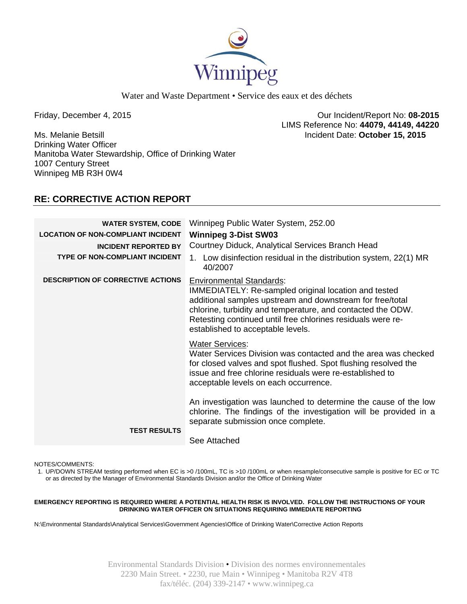

Water and Waste Department • Service des eaux et des déchets

Ms. Melanie Betsill Incident Date: **October 15, 2015**  Drinking Water Officer Manitoba Water Stewardship, Office of Drinking Water 1007 Century Street Winnipeg MB R3H 0W4

Friday, December 4, 2015 Our Incident/Report No: **08-2015**  LIMS Reference No: **44079, 44149, 44220**

## **RE: CORRECTIVE ACTION REPORT**

| <b>WATER SYSTEM, CODE</b><br><b>LOCATION OF NON-COMPLIANT INCIDENT</b><br><b>INCIDENT REPORTED BY</b><br><b>TYPE OF NON-COMPLIANT INCIDENT</b> | Winnipeg Public Water System, 252.00<br><b>Winnipeg 3-Dist SW03</b><br>Courtney Diduck, Analytical Services Branch Head<br>1. Low disinfection residual in the distribution system, 22(1) MR                                                                                                                                       |
|------------------------------------------------------------------------------------------------------------------------------------------------|------------------------------------------------------------------------------------------------------------------------------------------------------------------------------------------------------------------------------------------------------------------------------------------------------------------------------------|
| <b>DESCRIPTION OF CORRECTIVE ACTIONS</b>                                                                                                       | 40/2007<br><b>Environmental Standards:</b><br>IMMEDIATELY: Re-sampled original location and tested<br>additional samples upstream and downstream for free/total<br>chlorine, turbidity and temperature, and contacted the ODW.<br>Retesting continued until free chlorines residuals were re-<br>established to acceptable levels. |
|                                                                                                                                                | <b>Water Services:</b><br>Water Services Division was contacted and the area was checked<br>for closed valves and spot flushed. Spot flushing resolved the<br>issue and free chlorine residuals were re-established to<br>acceptable levels on each occurrence.                                                                    |
| <b>TEST RESULTS</b>                                                                                                                            | An investigation was launched to determine the cause of the low<br>chlorine. The findings of the investigation will be provided in a<br>separate submission once complete.<br>See Attached                                                                                                                                         |

NOTES/COMMENTS:

1. UP/DOWN STREAM testing performed when EC is >0 /100mL, TC is >10 /100mL or when resample/consecutive sample is positive for EC or TC or as directed by the Manager of Environmental Standards Division and/or the Office of Drinking Water

**EMERGENCY REPORTING IS REQUIRED WHERE A POTENTIAL HEALTH RISK IS INVOLVED. FOLLOW THE INSTRUCTIONS OF YOUR DRINKING WATER OFFICER ON SITUATIONS REQUIRING IMMEDIATE REPORTING**

N:\Environmental Standards\Analytical Services\Government Agencies\Office of Drinking Water\Corrective Action Reports